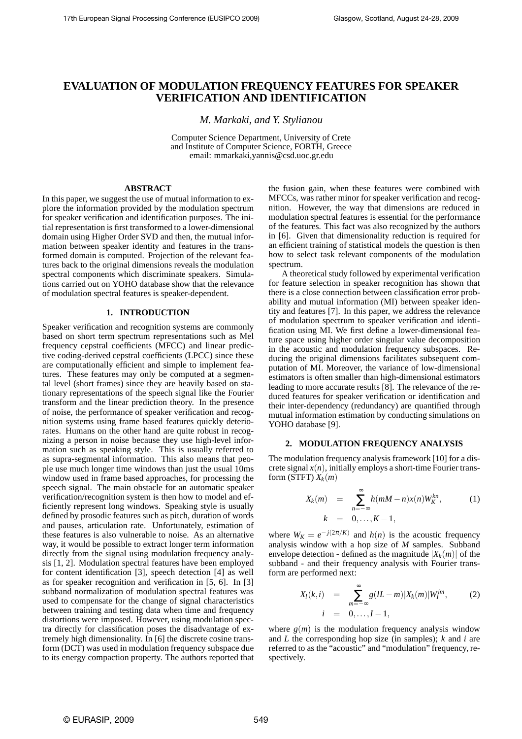# **EVALUATION OF MODULATION FREQUENCY FEATURES FOR SPEAKER VERIFICATION AND IDENTIFICATION**

*M. Markaki, and Y. Stylianou*

Computer Science Department, University of Crete and Institute of Computer Science, FORTH, Greece email: mmarkaki,yannis@csd.uoc.gr.edu

# **ABSTRACT**

In this paper, we suggest the use of mutual information to explore the information provided by the modulation spectrum for speaker verification and identification purposes. The initial representation is first transformed to a lower-dimensional domain using Higher Order SVD and then, the mutual information between speaker identity and features in the transformed domain is computed. Projection of the relevant features back to the original dimensions reveals the modulation spectral components which discriminate speakers. Simulations carried out on YOHO database show that the relevance of modulation spectral features is speaker-dependent.

## **1. INTRODUCTION**

Speaker verification and recognition systems are commonly based on short term spectrum representations such as Mel frequency cepstral coefficients (MFCC) and linear predictive coding-derived cepstral coefficients (LPCC) since these are computationally efficient and simple to implement features. These features may only be computed at a segmental level (short frames) since they are heavily based on stationary representations of the speech signal like the Fourier transform and the linear prediction theory. In the presence of noise, the performance of speaker verification and recognition systems using frame based features quickly deteriorates. Humans on the other hand are quite robust in recognizing a person in noise because they use high-level information such as speaking style. This is usually referred to as supra-segmental information. This also means that people use much longer time windows than just the usual 10ms window used in frame based approaches, for processing the speech signal. The main obstacle for an automatic speaker verification/recognition system is then how to model and efficiently represent long windows. Speaking style is usually defined by prosodic features such as pitch, duration of words and pauses, articulation rate. Unfortunately, estimation of these features is also vulnerable to noise. As an alternative way, it would be possible to extract longer term information directly from the signal using modulation frequency analysis [1, 2]. Modulation spectral features have been employed for content identification [3], speech detection [4] as well as for speaker recognition and verification in [5, 6]. In [3] subband normalization of modulation spectral features was used to compensate for the change of signal characteristics between training and testing data when time and frequency distortions were imposed. However, using modulation spectra directly for classification poses the disadvantage of extremely high dimensionality. In [6] the discrete cosine transform (DCT) was used in modulation frequency subspace due to its energy compaction property. The authors reported that

the fusion gain, when these features were combined with MFCCs, was rather minor for speaker verification and recognition. However, the way that dimensions are reduced in modulation spectral features is essential for the performance of the features. This fact was also recognized by the authors in [6]. Given that dimensionality reduction is required for an efficient training of statistical models the question is then how to select task relevant components of the modulation spectrum.

A theoretical study followed by experimental verification for feature selection in speaker recognition has shown that there is a close connection between classification error probability and mutual information (MI) between speaker identity and features [7]. In this paper, we address the relevance of modulation spectrum to speaker verification and identification using MI. We first define a lower-dimensional feature space using higher order singular value decomposition in the acoustic and modulation frequency subspaces. Reducing the original dimensions facilitates subsequent computation of MI. Moreover, the variance of low-dimensional estimators is often smaller than high-dimensional estimators leading to more accurate results [8]. The relevance of the reduced features for speaker verification or identification and their inter-dependency (redundancy) are quantified through mutual information estimation by conducting simulations on YOHO database [9].

#### **2. MODULATION FREQUENCY ANALYSIS**

The modulation frequency analysis framework [10] for a discrete signal  $x(n)$ , initially employs a short-time Fourier transform (STFT)  $X_k(m)$ 

$$
X_k(m) = \sum_{n=-\infty}^{\infty} h(mM-n)x(n)W_K^{kn}, \qquad (1)
$$
  

$$
k = 0, \ldots, K-1,
$$

where  $W_K = e^{-j(2\pi/K)}$  and  $h(n)$  is the acoustic frequency analysis window with a hop size of *M* samples. Subband envelope detection - defined as the magnitude  $|X_k(m)|$  of the subband - and their frequency analysis with Fourier transform are performed next:

$$
X_{l}(k, i) = \sum_{m=-\infty}^{\infty} g(lL-m)|X_{k}(m)|W_{l}^{im}, \qquad (2)
$$
  
 $i = 0,..., l-1,$ 

where  $g(m)$  is the modulation frequency analysis window and *L* the corresponding hop size (in samples); *k* and *i* are referred to as the "acoustic" and "modulation" frequency, respectively.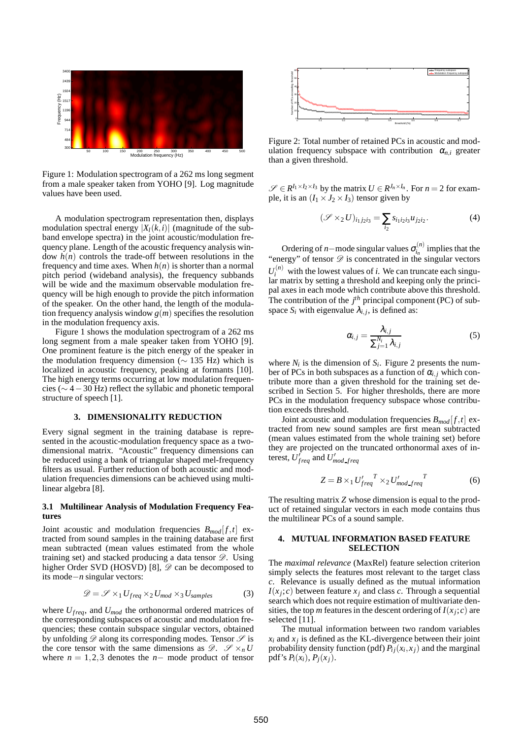

Figure 1: Modulation spectrogram of a 262 ms long segment from a male speaker taken from YOHO [9]. Log magnitude values have been used.

A modulation spectrogram representation then, displays modulation spectral energy  $|X_i(k,i)|$  (magnitude of the subband envelope spectra) in the joint acoustic/modulation frequency plane. Length of the acoustic frequency analysis window  $h(n)$  controls the trade-off between resolutions in the frequency and time axes. When  $h(n)$  is shorter than a normal pitch period (wideband analysis), the frequency subbands will be wide and the maximum observable modulation frequency will be high enough to provide the pitch information of the speaker. On the other hand, the length of the modulation frequency analysis window  $g(m)$  specifies the resolution in the modulation frequency axis.

Figure 1 shows the modulation spectrogram of a 262 ms long segment from a male speaker taken from YOHO [9]. One prominent feature is the pitch energy of the speaker in the modulation frequency dimension (∼ 135 Hz) which is localized in acoustic frequency, peaking at formants [10]. The high energy terms occurring at low modulation frequencies (∼ 4−30 Hz) reflect the syllabic and phonetic temporal structure of speech [1].

## **3. DIMENSIONALITY REDUCTION**

Every signal segment in the training database is represented in the acoustic-modulation frequency space as a twodimensional matrix. "Acoustic" frequency dimensions can be reduced using a bank of triangular shaped mel-frequency filters as usual. Further reduction of both acoustic and modulation frequencies dimensions can be achieved using multilinear algebra [8].

## **3.1 Multilinear Analysis of Modulation Frequency Features**

Joint acoustic and modulation frequencies  $B_{mod}[f,t]$  extracted from sound samples in the training database are first mean subtracted (mean values estimated from the whole training set) and stacked producing a data tensor  $\mathscr{D}$ . Using higher Order SVD (HOSVD) [8],  $\mathscr{D}$  can be decomposed to its mode−*n* singular vectors:

$$
\mathcal{D} = \mathcal{S} \times_1 U_{freq} \times_2 U_{mod} \times_3 U_{samples}
$$
 (3)

where  $U_{freq}$ , and  $U_{mod}$  the orthonormal ordered matrices of the corresponding subspaces of acoustic and modulation frequencies; these contain subspace singular vectors, obtained by unfolding  $\mathscr D$  along its corresponding modes. Tensor  $\mathscr S$  is the core tensor with the same dimensions as  $\mathscr{D}$ .  $\mathscr{S} \times_{n} U$ where  $n = 1, 2, 3$  denotes the  $n-$  mode product of tensor



Figure 2: Total number of retained PCs in acoustic and modulation frequency subspace with contribution  $\alpha_{n,i}$  greater than a given threshold.

 $\mathscr{S} \in R^{I_1 \times I_2 \times I_3}$  by the matrix  $U \in R^{J_n \times I_n}$ . For  $n = 2$  for example, it is an  $(I_1 \times J_2 \times I_3)$  tensor given by

$$
(\mathcal{S} \times_2 U)_{i_1 j_2 i_3} = \sum_{i_2} s_{i_1 i_2 i_3} u_{j_2 i_2}.
$$
 (4)

Ordering of *n*−mode singular values  $\sigma_i^{(n)}$  $i_n^{(n)}$  implies that the "energy" of tensor  $\mathscr{D}$  is concentrated in the singular vectors  $U_i^{(n)}$  with the lowest values of *i*. We can truncate each singular matrix by setting a threshold and keeping only the principal axes in each mode which contribute above this threshold. The contribution of the  $j<sup>th</sup>$  principal component (PC) of subspace  $S_i$  with eigenvalue  $\lambda_{i,j}$ , is defined as:

$$
\alpha_{i,j} = \frac{\lambda_{i,j}}{\sum_{j=1}^{N_i} \lambda_{i,j}} \tag{5}
$$

where  $N_i$  is the dimension of  $S_i$ . Figure 2 presents the number of PCs in both subspaces as a function of  $\alpha_{i,j}$  which contribute more than a given threshold for the training set described in Section 5. For higher thresholds, there are more PCs in the modulation frequency subspace whose contribution exceeds threshold.

Joint acoustic and modulation frequencies  $B_{mod}[f,t]$  extracted from new sound samples are first mean subtracted (mean values estimated from the whole training set) before they are projected on the truncated orthonormal axes of interest,  $U_{freq}^{\dagger}$  and  $U_{mod\_freq}^{\dagger}$ 

$$
Z = B \times_1 U'_{freq}^T \times_2 U'_{mod-free}^T
$$
 (6)

The resulting matrix *Z* whose dimension is equal to the product of retained singular vectors in each mode contains thus the multilinear PCs of a sound sample.

#### **4. MUTUAL INFORMATION BASED FEATURE SELECTION**

The *maximal relevance* (MaxRel) feature selection criterion simply selects the features most relevant to the target class *c*. Relevance is usually defined as the mutual information  $I(x_j; c)$  between feature  $x_j$  and class *c*. Through a sequential search which does not require estimation of multivariate densities, the top *m* features in the descent ordering of  $I(x_j; c)$  are selected [11].

The mutual information between two random variables  $x_i$  and  $x_j$  is defined as the KL-divergence between their joint probability density function (pdf)  $P_{ij}(x_i, x_j)$  and the marginal pdf's  $P_i(x_i)$ ,  $P_i(x_i)$ .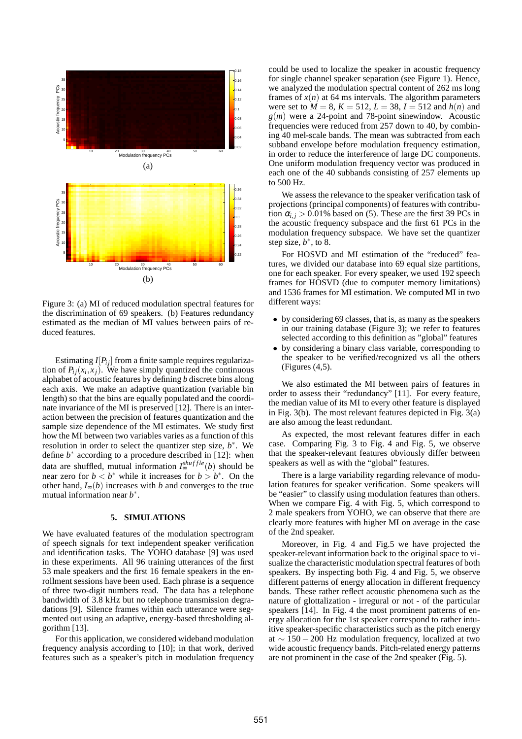

Figure 3: (a) MI of reduced modulation spectral features for the discrimination of 69 speakers. (b) Features redundancy estimated as the median of MI values between pairs of reduced features.

Estimating  $I[P_{ij}]$  from a finite sample requires regularization of  $P_{ij}(x_i, x_j)$ . We have simply quantized the continuous alphabet of acoustic features by defining *b* discrete bins along each axis. We make an adaptive quantization (variable bin length) so that the bins are equally populated and the coordinate invariance of the MI is preserved [12]. There is an interaction between the precision of features quantization and the sample size dependence of the MI estimates. We study first how the MI between two variables varies as a function of this resolution in order to select the quantizer step size, *b* ∗ . We define  $b^*$  according to a procedure described in [12]: when data are shuffled, mutual information  $I_{\infty}^{shuffle}(b)$  should be near zero for  $b < b^*$  while it increases for  $b > b^*$ . On the other hand,  $I_{\infty}(b)$  increases with *b* and converges to the true mutual information near *b*<sup>∗</sup>.

#### **5. SIMULATIONS**

We have evaluated features of the modulation spectrogram of speech signals for text independent speaker verification and identification tasks. The YOHO database [9] was used in these experiments. All 96 training utterances of the first 53 male speakers and the first 16 female speakers in the enrollment sessions have been used. Each phrase is a sequence of three two-digit numbers read. The data has a telephone bandwidth of 3.8 kHz but no telephone transmission degradations [9]. Silence frames within each utterance were segmented out using an adaptive, energy-based thresholding algorithm [13].

For this application, we considered wideband modulation frequency analysis according to [10]; in that work, derived features such as a speaker's pitch in modulation frequency could be used to localize the speaker in acoustic frequency for single channel speaker separation (see Figure 1). Hence, we analyzed the modulation spectral content of 262 ms long frames of  $x(n)$  at 64 ms intervals. The algorithm parameters were set to  $M = 8$ ,  $K = 512$ ,  $L = 38$ ,  $I = 512$  and  $h(n)$  and *g*(*m*) were a 24-point and 78-point sinewindow. Acoustic frequencies were reduced from 257 down to 40, by combining 40 mel-scale bands. The mean was subtracted from each subband envelope before modulation frequency estimation, in order to reduce the interference of large DC components. One uniform modulation frequency vector was produced in each one of the 40 subbands consisting of 257 elements up to 500 Hz.

We assess the relevance to the speaker verification task of projections (principal components) of features with contribution  $\alpha_{i,j} > 0.01\%$  based on (5). These are the first 39 PCs in the acoustic frequency subspace and the first 61 PCs in the modulation frequency subspace. We have set the quantizer step size,  $b^*$ , to  $\overline{8}$ .

For HOSVD and MI estimation of the "reduced" features, we divided our database into 69 equal size partitions, one for each speaker. For every speaker, we used 192 speech frames for HOSVD (due to computer memory limitations) and 1536 frames for MI estimation. We computed MI in two different ways:

- by considering 69 classes, that is, as many as the speakers in our training database (Figure 3); we refer to features selected according to this definition as "global" features
- by considering a binary class variable, corresponding to the speaker to be verified/recognized vs all the others (Figures (4,5).

We also estimated the MI between pairs of features in order to assess their "redundancy" [11]. For every feature, the median value of its MI to every other feature is displayed in Fig. 3(b). The most relevant features depicted in Fig. 3(a) are also among the least redundant.

As expected, the most relevant features differ in each case. Comparing Fig. 3 to Fig. 4 and Fig. 5, we observe that the speaker-relevant features obviously differ between speakers as well as with the "global" features.

There is a large variability regarding relevance of modulation features for speaker verification. Some speakers will be "easier" to classify using modulation features than others. When we compare Fig. 4 with Fig. 5, which correspond to 2 male speakers from YOHO, we can observe that there are clearly more features with higher MI on average in the case of the 2nd speaker.

Moreover, in Fig. 4 and Fig.5 we have projected the speaker-relevant information back to the original space to visualize the characteristic modulation spectral features of both speakers. By inspecting both Fig. 4 and Fig. 5, we observe different patterns of energy allocation in different frequency bands. These rather reflect acoustic phenomena such as the nature of glottalization - irregural or not - of the particular speakers [14]. In Fig. 4 the most prominent patterns of energy allocation for the 1st speaker correspond to rather intuitive speaker-specific characteristics such as the pitch energy at  $\sim$  150 − 200 Hz modulation frequency, localized at two wide acoustic frequency bands. Pitch-related energy patterns are not prominent in the case of the 2nd speaker (Fig. 5).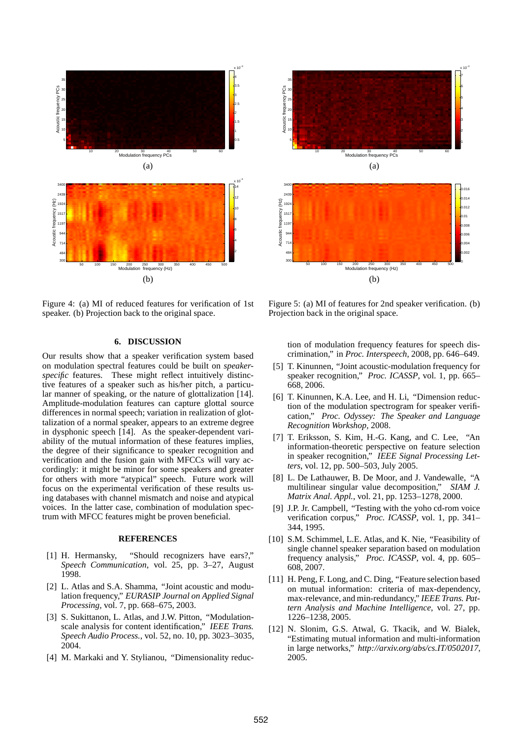

Figure 4: (a) MI of reduced features for verification of 1st speaker. (b) Projection back to the original space.

# **6. DISCUSSION**

Our results show that a speaker verification system based on modulation spectral features could be built on *speakerspecific* features. These might reflect intuitively distinctive features of a speaker such as his/her pitch, a particular manner of speaking, or the nature of glottalization [14]. Amplitude-modulation features can capture glottal source differences in normal speech; variation in realization of glottalization of a normal speaker, appears to an extreme degree in dysphonic speech [14]. As the speaker-dependent variability of the mutual information of these features implies, the degree of their significance to speaker recognition and verification and the fusion gain with MFCCs will vary accordingly: it might be minor for some speakers and greater for others with more "atypical" speech. Future work will focus on the experimental verification of these results using databases with channel mismatch and noise and atypical voices. In the latter case, combination of modulation spectrum with MFCC features might be proven beneficial.

#### **REFERENCES**

- [1] H. Hermansky, "Should recognizers have ears?," *Speech Communication*, vol. 25, pp. 3–27, August 1998.
- [2] L. Atlas and S.A. Shamma, "Joint acoustic and modulation frequency," *EURASIP Journal on Applied Signal Processing*, vol. 7, pp. 668–675, 2003.
- [3] S. Sukittanon, L. Atlas, and J.W. Pitton, "Modulationscale analysis for content identification," *IEEE Trans. Speech Audio Process.*, vol. 52, no. 10, pp. 3023–3035, 2004.
- [4] M. Markaki and Y. Stylianou, "Dimensionality reduc-



Figure 5: (a) MI of features for 2nd speaker verification. (b) Projection back in the original space.

tion of modulation frequency features for speech discrimination," in *Proc. Interspeech*, 2008, pp. 646–649.

- [5] T. Kinunnen, "Joint acoustic-modulation frequency for speaker recognition," *Proc. ICASSP*, vol. 1, pp. 665– 668, 2006.
- [6] T. Kinunnen, K.A. Lee, and H. Li, "Dimension reduction of the modulation spectrogram for speaker verification," *Proc. Odyssey: The Speaker and Language Recognition Workshop*, 2008.
- [7] T. Eriksson, S. Kim, H.-G. Kang, and C. Lee, "An information-theoretic perspective on feature selection in speaker recognition," *IEEE Signal Processing Letters*, vol. 12, pp. 500–503, July 2005.
- [8] L. De Lathauwer, B. De Moor, and J. Vandewalle, "A multilinear singular value decomposition," *SIAM J. Matrix Anal. Appl.*, vol. 21, pp. 1253–1278, 2000.
- [9] J.P. Jr. Campbell, "Testing with the yoho cd-rom voice verification corpus," *Proc. ICASSP*, vol. 1, pp. 341– 344, 1995.
- [10] S.M. Schimmel, L.E. Atlas, and K. Nie, "Feasibility of single channel speaker separation based on modulation frequency analysis," *Proc. ICASSP*, vol. 4, pp. 605– 608, 2007.
- [11] H. Peng, F. Long, and C. Ding, "Feature selection based on mutual information: criteria of max-dependency, max-relevance, and min-redundancy," *IEEE Trans. Pattern Analysis and Machine Intelligence*, vol. 27, pp. 1226–1238, 2005.
- [12] N. Slonim, G.S. Atwal, G. Tkacik, and W. Bialek, "Estimating mutual information and multi-information in large networks," *http://arxiv.org/abs/cs.IT/0502017*, 2005.